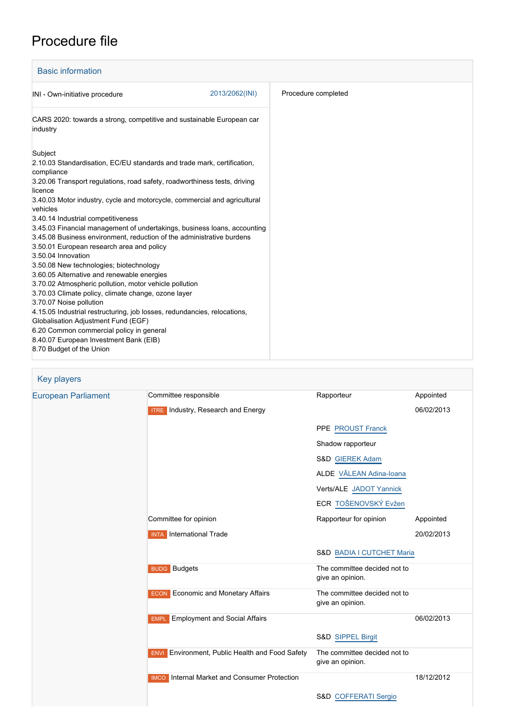## Procedure file

| <b>Basic information</b>                                                                                                                                                                                                                                                                                                                                                                                                                                                                                                                                                                                                                                                                                                                                                                                                                                                                                                                                                                                                  |                |                     |
|---------------------------------------------------------------------------------------------------------------------------------------------------------------------------------------------------------------------------------------------------------------------------------------------------------------------------------------------------------------------------------------------------------------------------------------------------------------------------------------------------------------------------------------------------------------------------------------------------------------------------------------------------------------------------------------------------------------------------------------------------------------------------------------------------------------------------------------------------------------------------------------------------------------------------------------------------------------------------------------------------------------------------|----------------|---------------------|
| INI - Own-initiative procedure                                                                                                                                                                                                                                                                                                                                                                                                                                                                                                                                                                                                                                                                                                                                                                                                                                                                                                                                                                                            | 2013/2062(INI) | Procedure completed |
| CARS 2020: towards a strong, competitive and sustainable European car<br>industry                                                                                                                                                                                                                                                                                                                                                                                                                                                                                                                                                                                                                                                                                                                                                                                                                                                                                                                                         |                |                     |
| Subject<br>2.10.03 Standardisation, EC/EU standards and trade mark, certification,<br>compliance<br>3.20.06 Transport regulations, road safety, roadworthiness tests, driving<br>licence<br>3.40.03 Motor industry, cycle and motorcycle, commercial and agricultural<br>vehicles<br>3.40.14 Industrial competitiveness<br>3.45.03 Financial management of undertakings, business loans, accounting<br>3.45.08 Business environment, reduction of the administrative burdens<br>3.50.01 European research area and policy<br>3.50.04 Innovation<br>3.50.08 New technologies; biotechnology<br>3.60.05 Alternative and renewable energies<br>3.70.02 Atmospheric pollution, motor vehicle pollution<br>3.70.03 Climate policy, climate change, ozone layer<br>3.70.07 Noise pollution<br>4.15.05 Industrial restructuring, job losses, redundancies, relocations,<br>Globalisation Adjustment Fund (EGF)<br>6.20 Common commercial policy in general<br>8.40.07 European Investment Bank (EIB)<br>8.70 Budget of the Union |                |                     |

| Key players                |                                                        |                                                  |            |
|----------------------------|--------------------------------------------------------|--------------------------------------------------|------------|
| <b>European Parliament</b> | Committee responsible                                  | Rapporteur                                       | Appointed  |
|                            | <b>ITRE</b> Industry, Research and Energy              |                                                  | 06/02/2013 |
|                            |                                                        | PPE PROUST Franck                                |            |
|                            |                                                        | Shadow rapporteur                                |            |
|                            |                                                        | S&D GIEREK Adam                                  |            |
|                            |                                                        | ALDE VĂLEAN Adina-Ioana                          |            |
|                            |                                                        | Verts/ALE JADOT Yannick                          |            |
|                            |                                                        | ECR TOŠENOVSKÝ Evžen                             |            |
|                            | Committee for opinion                                  | Rapporteur for opinion                           | Appointed  |
|                            | <b>INTA</b> International Trade                        |                                                  | 20/02/2013 |
|                            |                                                        | S&D BADIA I CUTCHET Maria                        |            |
|                            | <b>BUDG</b> Budgets                                    | The committee decided not to<br>give an opinion. |            |
|                            | <b>ECON</b> Economic and Monetary Affairs              | The committee decided not to<br>give an opinion. |            |
|                            | <b>Employment and Social Affairs</b><br><b>EMPL</b>    |                                                  | 06/02/2013 |
|                            |                                                        | S&D SIPPEL Birgit                                |            |
|                            | <b>ENVI</b> Environment, Public Health and Food Safety | The committee decided not to<br>give an opinion. |            |
|                            | <b>IMCO</b> Internal Market and Consumer Protection    |                                                  | 18/12/2012 |

S&D [COFFERATI Sergio](http://www.europarl.europa.eu/meps/en/96915)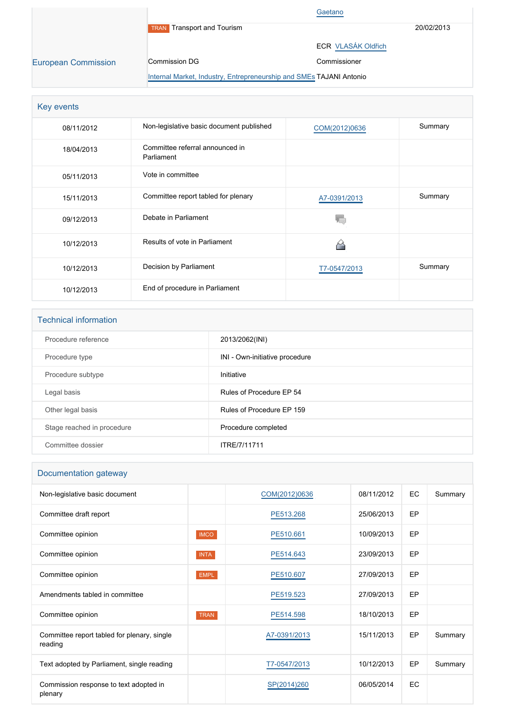|                            |                                                                     | Gaetano                   |            |
|----------------------------|---------------------------------------------------------------------|---------------------------|------------|
|                            | <b>Transport and Tourism</b><br><b>TRAN</b>                         |                           | 20/02/2013 |
|                            |                                                                     | <b>ECR VLASÁK Oldřich</b> |            |
| <b>European Commission</b> | Commission DG                                                       | Commissioner              |            |
|                            | Internal Market, Industry, Entrepreneurship and SMEs TAJANI Antonio |                           |            |

| Key events |                                               |               |         |
|------------|-----------------------------------------------|---------------|---------|
| 08/11/2012 | Non-legislative basic document published      | COM(2012)0636 | Summary |
| 18/04/2013 | Committee referral announced in<br>Parliament |               |         |
| 05/11/2013 | Vote in committee                             |               |         |
| 15/11/2013 | Committee report tabled for plenary           | A7-0391/2013  | Summary |
| 09/12/2013 | Debate in Parliament                          |               |         |
| 10/12/2013 | Results of vote in Parliament                 |               |         |
| 10/12/2013 | Decision by Parliament                        | T7-0547/2013  | Summary |
| 10/12/2013 | End of procedure in Parliament                |               |         |

| <b>Technical information</b> |                                |  |  |
|------------------------------|--------------------------------|--|--|
| Procedure reference          | 2013/2062(INI)                 |  |  |
| Procedure type               | INI - Own-initiative procedure |  |  |
| Procedure subtype            | Initiative                     |  |  |
| Legal basis                  | Rules of Procedure EP 54       |  |  |
| Other legal basis            | Rules of Procedure EP 159      |  |  |
| Stage reached in procedure   | Procedure completed            |  |  |
| Committee dossier            | ITRE/7/11711                   |  |  |

## Documentation gateway

| Non-legislative basic document                         |             | COM(2012)0636 | 08/11/2012 | EC        | Summary |
|--------------------------------------------------------|-------------|---------------|------------|-----------|---------|
| Committee draft report                                 |             | PE513.268     | 25/06/2013 | <b>EP</b> |         |
| Committee opinion                                      | <b>IMCO</b> | PE510.661     | 10/09/2013 | EP        |         |
| Committee opinion                                      | <b>INTA</b> | PE514.643     | 23/09/2013 | <b>EP</b> |         |
| Committee opinion                                      | <b>EMPL</b> | PE510.607     | 27/09/2013 | EP        |         |
| Amendments tabled in committee                         |             | PE519.523     | 27/09/2013 | <b>EP</b> |         |
| Committee opinion                                      | <b>TRAN</b> | PE514.598     | 18/10/2013 | EP        |         |
| Committee report tabled for plenary, single<br>reading |             | A7-0391/2013  | 15/11/2013 | <b>EP</b> | Summary |
| Text adopted by Parliament, single reading             |             | T7-0547/2013  | 10/12/2013 | <b>EP</b> | Summary |
| Commission response to text adopted in<br>plenary      |             | SP(2014)260   | 06/05/2014 | EC        |         |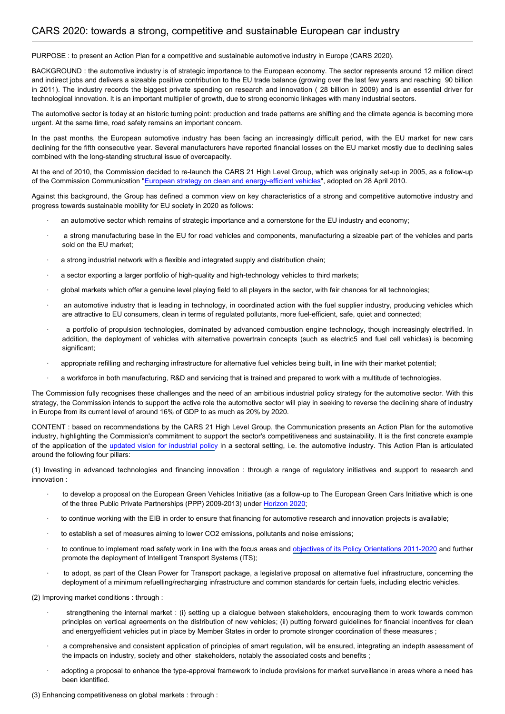PURPOSE : to present an Action Plan for a competitive and sustainable automotive industry in Europe (CARS 2020).

BACKGROUND : the automotive industry is of strategic importance to the European economy. The sector represents around 12 million direct and indirect jobs and delivers a sizeable positive contribution to the EU trade balance (growing over the last few years and reaching 90 billion in 2011). The industry records the biggest private spending on research and innovation ( 28 billion in 2009) and is an essential driver for technological innovation. It is an important multiplier of growth, due to strong economic linkages with many industrial sectors.

The automotive sector is today at an historic turning point: production and trade patterns are shifting and the climate agenda is becoming more urgent. At the same time, road safety remains an important concern.

In the past months, the European automotive industry has been facing an increasingly difficult period, with the EU market for new cars declining for the fifth consecutive year. Several manufacturers have reported financial losses on the EU market mostly due to declining sales combined with the long-standing structural issue of overcapacity.

At the end of 2010, the Commission decided to re-launch the CARS 21 High Level Group, which was originally set-up in 2005, as a follow-up of the Commission Communication ["European strategy on clean and energy-efficient vehicles](http://eur-lex.europa.eu/LexUriServ/LexUriServ.do?uri=COM:2010:0186:FIN:EN:PDF)", adopted on 28 April 2010.

Against this background, the Group has defined a common view on key characteristics of a strong and competitive automotive industry and progress towards sustainable mobility for EU society in 2020 as follows:

- an automotive sector which remains of strategic importance and a cornerstone for the EU industry and economy;
- a strong manufacturing base in the EU for road vehicles and components, manufacturing a sizeable part of the vehicles and parts sold on the EU market;
- a strong industrial network with a flexible and integrated supply and distribution chain;
- a sector exporting a larger portfolio of high-quality and high-technology vehicles to third markets;
- · global markets which offer a genuine level playing field to all players in the sector, with fair chances for all technologies;
- an automotive industry that is leading in technology, in coordinated action with the fuel supplier industry, producing vehicles which are attractive to EU consumers, clean in terms of regulated pollutants, more fuel-efficient, safe, quiet and connected;
- a portfolio of propulsion technologies, dominated by advanced combustion engine technology, though increasingly electrified. In addition, the deployment of vehicles with alternative powertrain concepts (such as electric5 and fuel cell vehicles) is becoming significant:
- · appropriate refilling and recharging infrastructure for alternative fuel vehicles being built, in line with their market potential;
- a workforce in both manufacturing, R&D and servicing that is trained and prepared to work with a multitude of technologies.

The Commission fully recognises these challenges and the need of an ambitious industrial policy strategy for the automotive sector. With this strategy, the Commission intends to support the active role the automotive sector will play in seeking to reverse the declining share of industry in Europe from its current level of around 16% of GDP to as much as 20% by 2020.

CONTENT : based on recommendations by the CARS 21 High Level Group, the Communication presents an Action Plan for the automotive industry, highlighting the Commission's commitment to support the sector's competitiveness and sustainability. It is the first concrete example of the application of the [updated vision for industrial policy](http://www.europarl.europa.eu/oeil/popups/ficheprocedure.do?lang=EN&procnum=INI/2013/2006) in a sectoral setting, i.e. the automotive industry. This Action Plan is articulated around the following four pillars:

(1) Investing in advanced technologies and financing innovation : through a range of regulatory initiatives and support to research and innovation :

- to develop a proposal on the European Green Vehicles Initiative (as a follow-up to The European Green Cars Initiative which is one of the three Public Private Partnerships (PPP) 2009-2013) under [Horizon 2020](http://www.europarl.europa.eu/oeil/popups/ficheprocedure.do?lang=EN&procnum=COD/2011/0401);
- · to continue working with the EIB in order to ensure that financing for automotive research and innovation projects is available;
- to establish a set of measures aiming to lower CO2 emissions, pollutants and noise emissions;
- to continue to implement road safety work in line with the focus areas and [objectives of its Policy Orientations 2011-2020](http://www.europarl.europa.eu/oeil/popups/ficheprocedure.do?lang=EN&procnum=INI/2010/2235) and further promote the deployment of Intelligent Transport Systems (ITS);
- · to adopt, as part of the Clean Power for Transport package, a legislative proposal on alternative fuel infrastructure, concerning the deployment of a minimum refuelling/recharging infrastructure and common standards for certain fuels, including electric vehicles.

(2) Improving market conditions : through :

- strengthening the internal market : (i) setting up a dialogue between stakeholders, encouraging them to work towards common principles on vertical agreements on the distribution of new vehicles; (ii) putting forward guidelines for financial incentives for clean and energyefficient vehicles put in place by Member States in order to promote stronger coordination of these measures ;
- a comprehensive and consistent application of principles of smart regulation, will be ensured, integrating an indepth assessment of the impacts on industry, society and other stakeholders, notably the associated costs and benefits ;
- adopting a proposal to enhance the type-approval framework to include provisions for market surveillance in areas where a need has been identified.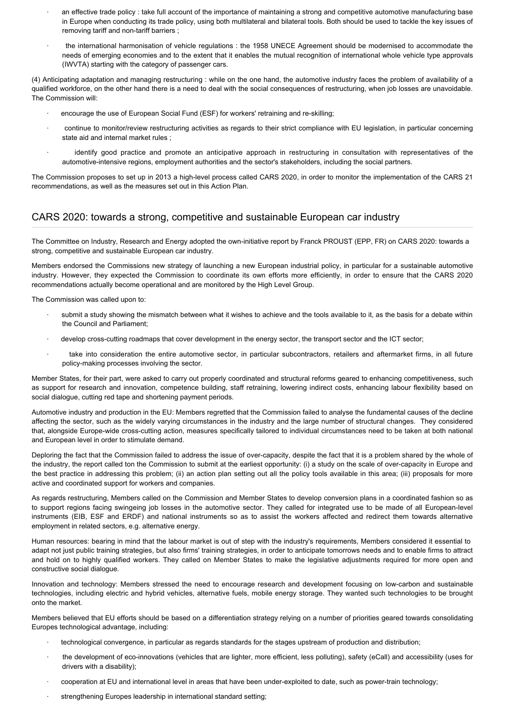- an effective trade policy : take full account of the importance of maintaining a strong and competitive automotive manufacturing base in Europe when conducting its trade policy, using both multilateral and bilateral tools. Both should be used to tackle the key issues of removing tariff and non-tariff barriers ;
- · the international harmonisation of vehicle regulations : the 1958 UNECE Agreement should be modernised to accommodate the needs of emerging economies and to the extent that it enables the mutual recognition of international whole vehicle type approvals (IWVTA) starting with the category of passenger cars.

(4) Anticipating adaptation and managing restructuring : while on the one hand, the automotive industry faces the problem of availability of a qualified workforce, on the other hand there is a need to deal with the social consequences of restructuring, when job losses are unavoidable. The Commission will:

- · encourage the use of European Social Fund (ESF) for workers' retraining and re-skilling;
- continue to monitor/review restructuring activities as regards to their strict compliance with EU legislation, in particular concerning state aid and internal market rules ;
- · identify good practice and promote an anticipative approach in restructuring in consultation with representatives of the automotive-intensive regions, employment authorities and the sector's stakeholders, including the social partners.

The Commission proposes to set up in 2013 a high-level process called CARS 2020, in order to monitor the implementation of the CARS 21 recommendations, as well as the measures set out in this Action Plan.

## CARS 2020: towards a strong, competitive and sustainable European car industry

The Committee on Industry, Research and Energy adopted the own-initiative report by Franck PROUST (EPP, FR) on CARS 2020: towards a strong, competitive and sustainable European car industry.

Members endorsed the Commissions new strategy of launching a new European industrial policy, in particular for a sustainable automotive industry. However, they expected the Commission to coordinate its own efforts more efficiently, in order to ensure that the CARS 2020 recommendations actually become operational and are monitored by the High Level Group.

The Commission was called upon to:

- submit a study showing the mismatch between what it wishes to achieve and the tools available to it, as the basis for a debate within the Council and Parliament;
- develop cross-cutting roadmaps that cover development in the energy sector, the transport sector and the ICT sector;
- take into consideration the entire automotive sector, in particular subcontractors, retailers and aftermarket firms, in all future policy-making processes involving the sector.

Member States, for their part, were asked to carry out properly coordinated and structural reforms geared to enhancing competitiveness, such as support for research and innovation, competence building, staff retraining, lowering indirect costs, enhancing labour flexibility based on social dialogue, cutting red tape and shortening payment periods.

Automotive industry and production in the EU: Members regretted that the Commission failed to analyse the fundamental causes of the decline affecting the sector, such as the widely varying circumstances in the industry and the large number of structural changes. They considered that, alongside Europe-wide cross-cutting action, measures specifically tailored to individual circumstances need to be taken at both national and European level in order to stimulate demand.

Deploring the fact that the Commission failed to address the issue of over-capacity, despite the fact that it is a problem shared by the whole of the industry, the report called ton the Commission to submit at the earliest opportunity: (i) a study on the scale of over-capacity in Europe and the best practice in addressing this problem; (ii) an action plan setting out all the policy tools available in this area; (iii) proposals for more active and coordinated support for workers and companies.

As regards restructuring, Members called on the Commission and Member States to develop conversion plans in a coordinated fashion so as to support regions facing swingeing job losses in the automotive sector. They called for integrated use to be made of all European-level instruments (EIB, ESF and ERDF) and national instruments so as to assist the workers affected and redirect them towards alternative employment in related sectors, e.g. alternative energy.

Human resources: bearing in mind that the labour market is out of step with the industry's requirements, Members considered it essential to adapt not just public training strategies, but also firms' training strategies, in order to anticipate tomorrows needs and to enable firms to attract and hold on to highly qualified workers. They called on Member States to make the legislative adjustments required for more open and constructive social dialogue.

Innovation and technology: Members stressed the need to encourage research and development focusing on low-carbon and sustainable technologies, including electric and hybrid vehicles, alternative fuels, mobile energy storage. They wanted such technologies to be brought onto the market.

Members believed that EU efforts should be based on a differentiation strategy relying on a number of priorities geared towards consolidating Europes technological advantage, including:

- technological convergence, in particular as regards standards for the stages upstream of production and distribution;
- · the development of eco-innovations (vehicles that are lighter, more efficient, less polluting), safety (eCall) and accessibility (uses for drivers with a disability);
- · cooperation at EU and international level in areas that have been under-exploited to date, such as power-train technology;
- strengthening Europes leadership in international standard setting;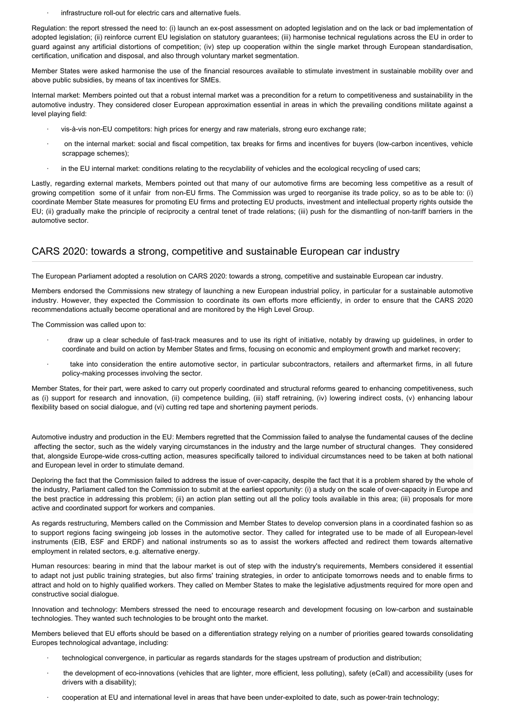· infrastructure roll-out for electric cars and alternative fuels.

Regulation: the report stressed the need to: (i) launch an ex-post assessment on adopted legislation and on the lack or bad implementation of adopted legislation; (ii) reinforce current EU legislation on statutory guarantees; (iii) harmonise technical regulations across the EU in order to guard against any artificial distortions of competition; (iv) step up cooperation within the single market through European standardisation, certification, unification and disposal, and also through voluntary market segmentation.

Member States were asked harmonise the use of the financial resources available to stimulate investment in sustainable mobility over and above public subsidies, by means of tax incentives for SMEs.

Internal market: Members pointed out that a robust internal market was a precondition for a return to competitiveness and sustainability in the automotive industry. They considered closer European approximation essential in areas in which the prevailing conditions militate against a level playing field:

- · vis-à-vis non-EU competitors: high prices for energy and raw materials, strong euro exchange rate;
- · on the internal market: social and fiscal competition, tax breaks for firms and incentives for buyers (low-carbon incentives, vehicle scrappage schemes);
- in the EU internal market: conditions relating to the recyclability of vehicles and the ecological recycling of used cars;

Lastly, regarding external markets, Members pointed out that many of our automotive firms are becoming less competitive as a result of growing competition some of it unfair from non-EU firms. The Commission was urged to reorganise its trade policy, so as to be able to: (i) coordinate Member State measures for promoting EU firms and protecting EU products, investment and intellectual property rights outside the EU; (ii) gradually make the principle of reciprocity a central tenet of trade relations; (iii) push for the dismantling of non-tariff barriers in the automotive sector.

## CARS 2020: towards a strong, competitive and sustainable European car industry

The European Parliament adopted a resolution on CARS 2020: towards a strong, competitive and sustainable European car industry.

Members endorsed the Commissions new strategy of launching a new European industrial policy, in particular for a sustainable automotive industry. However, they expected the Commission to coordinate its own efforts more efficiently, in order to ensure that the CARS 2020 recommendations actually become operational and are monitored by the High Level Group.

The Commission was called upon to:

- · draw up a clear schedule of fast-track measures and to use its right of initiative, notably by drawing up guidelines, in order to coordinate and build on action by Member States and firms, focusing on economic and employment growth and market recovery;
- take into consideration the entire automotive sector, in particular subcontractors, retailers and aftermarket firms, in all future policy-making processes involving the sector.

Member States, for their part, were asked to carry out properly coordinated and structural reforms geared to enhancing competitiveness, such as (i) support for research and innovation, (ii) competence building, (iii) staff retraining, (iv) lowering indirect costs, (v) enhancing labour flexibility based on social dialogue, and (vi) cutting red tape and shortening payment periods.

Automotive industry and production in the EU: Members regretted that the Commission failed to analyse the fundamental causes of the decline affecting the sector, such as the widely varying circumstances in the industry and the large number of structural changes. They considered that, alongside Europe-wide cross-cutting action, measures specifically tailored to individual circumstances need to be taken at both national and European level in order to stimulate demand.

Deploring the fact that the Commission failed to address the issue of over-capacity, despite the fact that it is a problem shared by the whole of the industry, Parliament called ton the Commission to submit at the earliest opportunity: (i) a study on the scale of over-capacity in Europe and the best practice in addressing this problem; (ii) an action plan setting out all the policy tools available in this area; (iii) proposals for more active and coordinated support for workers and companies.

As regards restructuring, Members called on the Commission and Member States to develop conversion plans in a coordinated fashion so as to support regions facing swingeing job losses in the automotive sector. They called for integrated use to be made of all European-level instruments (EIB, ESF and ERDF) and national instruments so as to assist the workers affected and redirect them towards alternative employment in related sectors, e.g. alternative energy.

Human resources: bearing in mind that the labour market is out of step with the industry's requirements, Members considered it essential to adapt not just public training strategies, but also firms' training strategies, in order to anticipate tomorrows needs and to enable firms to attract and hold on to highly qualified workers. They called on Member States to make the legislative adjustments required for more open and constructive social dialogue.

Innovation and technology: Members stressed the need to encourage research and development focusing on low-carbon and sustainable technologies. They wanted such technologies to be brought onto the market.

Members believed that EU efforts should be based on a differentiation strategy relying on a number of priorities geared towards consolidating Europes technological advantage, including:

- · technological convergence, in particular as regards standards for the stages upstream of production and distribution;
- the development of eco-innovations (vehicles that are lighter, more efficient, less polluting), safety (eCall) and accessibility (uses for drivers with a disability);
- · cooperation at EU and international level in areas that have been under-exploited to date, such as power-train technology;